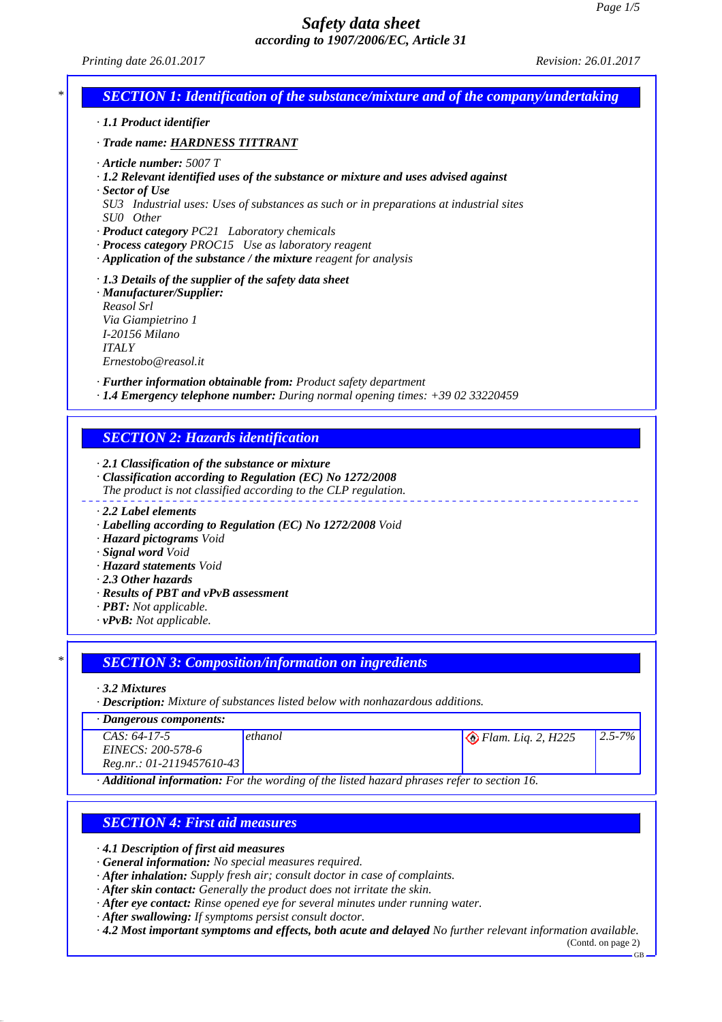*Printing date 26.01.2017 Revision: 26.01.2017*



*· Description: Mixture of substances listed below with nonhazardous additions.*

#### *· Dangerous components:*

| $CAS: 64-17-5$                                                                              | ethanol | $\bigotimes$ Flam. Liq. 2, H225 | $12.5 - 7\%$ |
|---------------------------------------------------------------------------------------------|---------|---------------------------------|--------------|
| EINECS: 200-578-6                                                                           |         |                                 |              |
| $Reg.nr.: 01-2119457610-43$                                                                 |         |                                 |              |
| · Additional information: For the wording of the listed hazard phrases refer to section 16. |         |                                 |              |

#### *SECTION 4: First aid measures*

*· 4.1 Description of first aid measures*

- *· General information: No special measures required.*
- *· After inhalation: Supply fresh air; consult doctor in case of complaints.*
- *· After skin contact: Generally the product does not irritate the skin.*
- *· After eye contact: Rinse opened eye for several minutes under running water.*
- *· After swallowing: If symptoms persist consult doctor.*
- *· 4.2 Most important symptoms and effects, both acute and delayed No further relevant information available.*

(Contd. on page 2) GB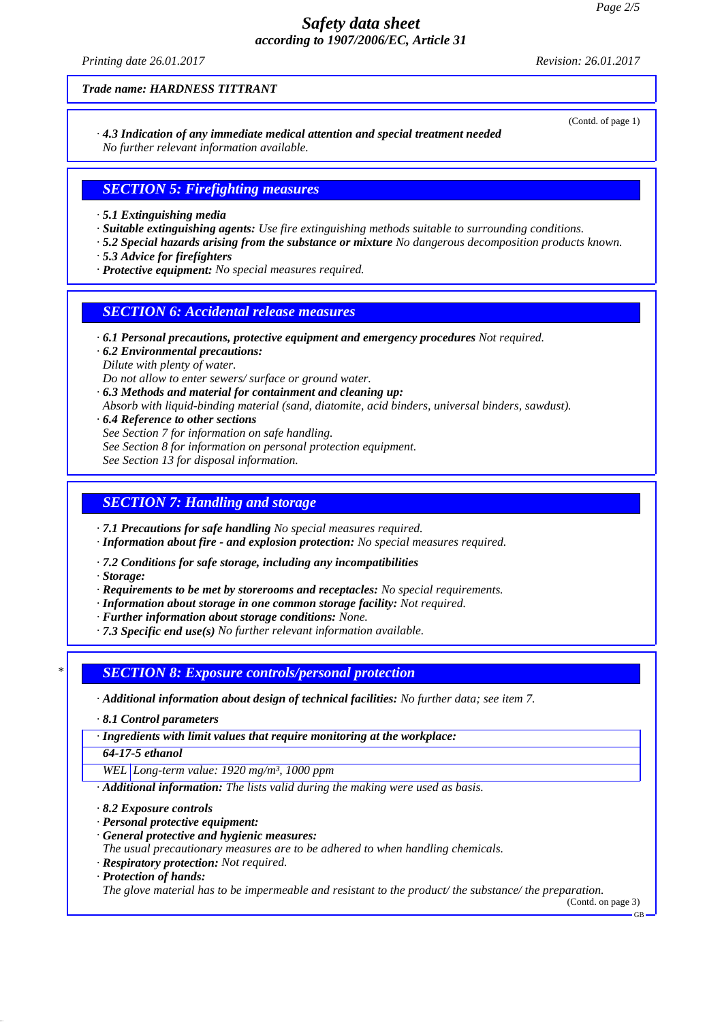*Printing date 26.01.2017 Revision: 26.01.2017*

(Contd. of page 1)

*Trade name: HARDNESS TITTRANT*

*· 4.3 Indication of any immediate medical attention and special treatment needed No further relevant information available.*

# *SECTION 5: Firefighting measures*

- *· 5.1 Extinguishing media*
- *· Suitable extinguishing agents: Use fire extinguishing methods suitable to surrounding conditions.*
- *· 5.2 Special hazards arising from the substance or mixture No dangerous decomposition products known.*
- *· 5.3 Advice for firefighters*
- *· Protective equipment: No special measures required.*

### *SECTION 6: Accidental release measures*

- *· 6.1 Personal precautions, protective equipment and emergency procedures Not required.*
- *· 6.2 Environmental precautions: Dilute with plenty of water.*

*Do not allow to enter sewers/ surface or ground water.*

- *· 6.3 Methods and material for containment and cleaning up: Absorb with liquid-binding material (sand, diatomite, acid binders, universal binders, sawdust).*
- *· 6.4 Reference to other sections See Section 7 for information on safe handling. See Section 8 for information on personal protection equipment. See Section 13 for disposal information.*

### *SECTION 7: Handling and storage*

*· 7.1 Precautions for safe handling No special measures required.*

- *· Information about fire and explosion protection: No special measures required.*
- *· 7.2 Conditions for safe storage, including any incompatibilities*
- *· Storage:*
- *· Requirements to be met by storerooms and receptacles: No special requirements.*
- *· Information about storage in one common storage facility: Not required.*
- *· Further information about storage conditions: None.*
- *· 7.3 Specific end use(s) No further relevant information available.*

#### *\* SECTION 8: Exposure controls/personal protection*

- *· Additional information about design of technical facilities: No further data; see item 7.*
- *· 8.1 Control parameters*

*· Ingredients with limit values that require monitoring at the workplace:*

*64-17-5 ethanol*

*WEL Long-term value: 1920 mg/m³, 1000 ppm*

- *· Additional information: The lists valid during the making were used as basis.*
- *· 8.2 Exposure controls*
- *· Personal protective equipment:*
- *· General protective and hygienic measures:*
- *The usual precautionary measures are to be adhered to when handling chemicals.*
- *· Respiratory protection: Not required.*
- *· Protection of hands:*

*The glove material has to be impermeable and resistant to the product/ the substance/ the preparation.*

(Contd. on page 3)

GB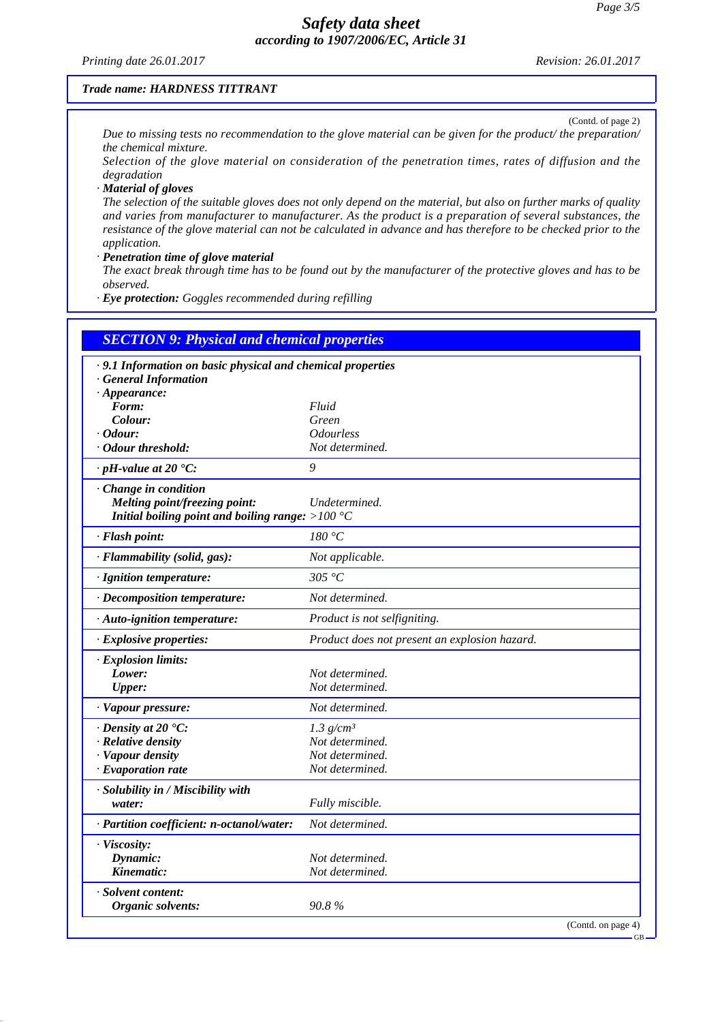*Printing date 26.01.2017 Revision: 26.01.2017*

#### *Trade name: HARDNESS TITTRANT*

(Contd. of page 2) *Due to missing tests no recommendation to the glove material can be given for the product/ the preparation/ the chemical mixture.*

*Selection of the glove material on consideration of the penetration times, rates of diffusion and the degradation*

*· Material of gloves*

*The selection of the suitable gloves does not only depend on the material, but also on further marks of quality and varies from manufacturer to manufacturer. As the product is a preparation of several substances, the resistance of the glove material can not be calculated in advance and has therefore to be checked prior to the application.*

*· Penetration time of glove material*

*The exact break through time has to be found out by the manufacturer of the protective gloves and has to be observed.*

*· Eye protection: Goggles recommended during refilling*

| <b>SECTION 9: Physical and chemical properties</b>          |                                               |
|-------------------------------------------------------------|-----------------------------------------------|
| · 9.1 Information on basic physical and chemical properties |                                               |
| · General Information                                       |                                               |
| $\cdot$ Appearance:                                         |                                               |
| Form:                                                       | Fluid                                         |
| Colour:                                                     | Green                                         |
| $\cdot$ Odour:                                              | <i><b>Odourless</b></i>                       |
| · Odour threshold:                                          | Not determined.                               |
| $\cdot$ pH-value at 20 $\textdegree$ C:                     | 9                                             |
| · Change in condition                                       |                                               |
| Melting point/freezing point:                               | Undetermined.                                 |
| Initial boiling point and boiling range: $>100^{\circ}$ C   |                                               |
| · Flash point:                                              | 180 °C                                        |
| · Flammability (solid, gas):                                | Not applicable.                               |
| · Ignition temperature:                                     | 305 °C                                        |
| · Decomposition temperature:                                | Not determined.                               |
| $\cdot$ Auto-ignition temperature:                          | Product is not selfigniting.                  |
| · Explosive properties:                                     | Product does not present an explosion hazard. |
| · Explosion limits:                                         |                                               |
| Lower:                                                      | Not determined.                               |
| <b>Upper:</b>                                               | Not determined.                               |
| · Vapour pressure:                                          | Not determined.                               |
| $\cdot$ Density at 20 $\degree$ C:                          | 1.3 $g/cm^3$                                  |
| · Relative density                                          | Not determined.                               |
| · Vapour density                                            | Not determined.                               |
| $\cdot$ Evaporation rate                                    | Not determined.                               |
| · Solubility in / Miscibility with                          |                                               |
| water:                                                      | Fully miscible.                               |
| · Partition coefficient: n-octanol/water:                   | Not determined.                               |
| · Viscosity:                                                |                                               |
| Dynamic:                                                    | Not determined.                               |
| Kinematic:                                                  | Not determined.                               |
| · Solvent content:                                          |                                               |
| Organic solvents:                                           | 90.8%                                         |

GB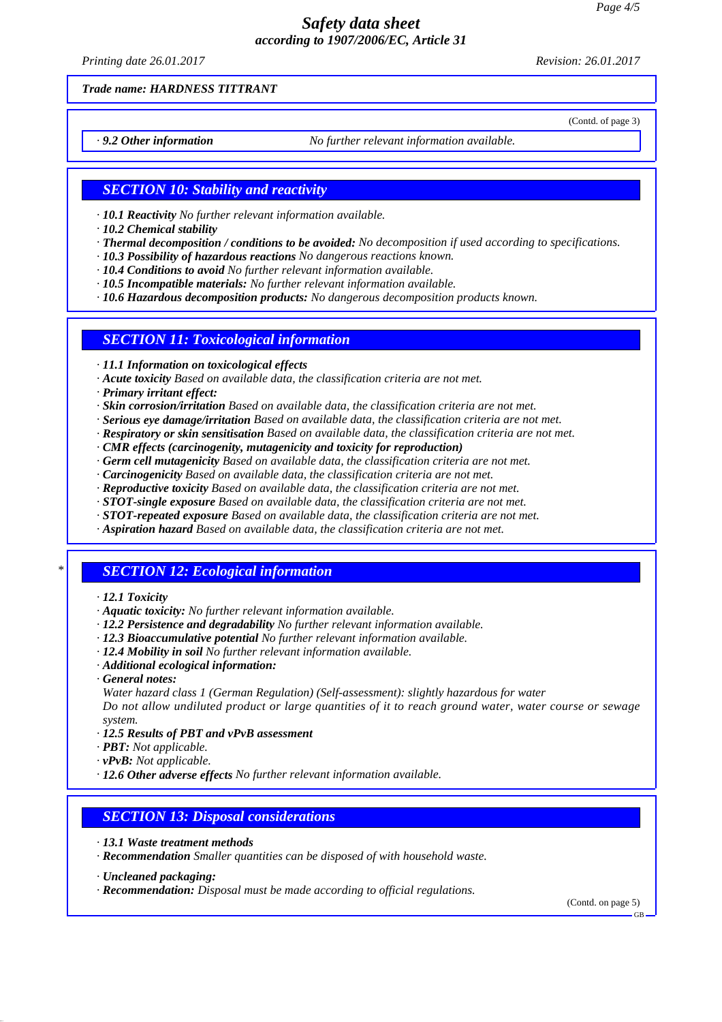*Printing date 26.01.2017 Revision: 26.01.2017*

(Contd. of page 3)

*Trade name: HARDNESS TITTRANT*

*· 9.2 Other information No further relevant information available.*

#### *SECTION 10: Stability and reactivity*

*· 10.1 Reactivity No further relevant information available.*

*· 10.2 Chemical stability*

- *· Thermal decomposition / conditions to be avoided: No decomposition if used according to specifications.*
- *· 10.3 Possibility of hazardous reactions No dangerous reactions known.*
- *· 10.4 Conditions to avoid No further relevant information available.*
- *· 10.5 Incompatible materials: No further relevant information available.*
- *· 10.6 Hazardous decomposition products: No dangerous decomposition products known.*

### *SECTION 11: Toxicological information*

*· 11.1 Information on toxicological effects*

- *· Acute toxicity Based on available data, the classification criteria are not met.*
- *· Primary irritant effect:*
- *· Skin corrosion/irritation Based on available data, the classification criteria are not met.*
- *· Serious eye damage/irritation Based on available data, the classification criteria are not met.*
- *· Respiratory or skin sensitisation Based on available data, the classification criteria are not met.*
- *· CMR effects (carcinogenity, mutagenicity and toxicity for reproduction)*
- *· Germ cell mutagenicity Based on available data, the classification criteria are not met.*
- *· Carcinogenicity Based on available data, the classification criteria are not met.*
- *· Reproductive toxicity Based on available data, the classification criteria are not met.*
- *· STOT-single exposure Based on available data, the classification criteria are not met.*
- *· STOT-repeated exposure Based on available data, the classification criteria are not met.*
- *· Aspiration hazard Based on available data, the classification criteria are not met.*

# *\* SECTION 12: Ecological information*

- *· 12.1 Toxicity*
- *· Aquatic toxicity: No further relevant information available.*
- *· 12.2 Persistence and degradability No further relevant information available.*
- *· 12.3 Bioaccumulative potential No further relevant information available.*
- *· 12.4 Mobility in soil No further relevant information available.*
- *· Additional ecological information:*
- *· General notes:*

*Water hazard class 1 (German Regulation) (Self-assessment): slightly hazardous for water*

*Do not allow undiluted product or large quantities of it to reach ground water, water course or sewage system.*

- *· 12.5 Results of PBT and vPvB assessment*
- *· PBT: Not applicable.*
- *· vPvB: Not applicable.*
- *· 12.6 Other adverse effects No further relevant information available.*

#### *SECTION 13: Disposal considerations*

- *· 13.1 Waste treatment methods*
- *· Recommendation Smaller quantities can be disposed of with household waste.*
- *· Uncleaned packaging:*
- *· Recommendation: Disposal must be made according to official regulations.*

(Contd. on page 5)

GB